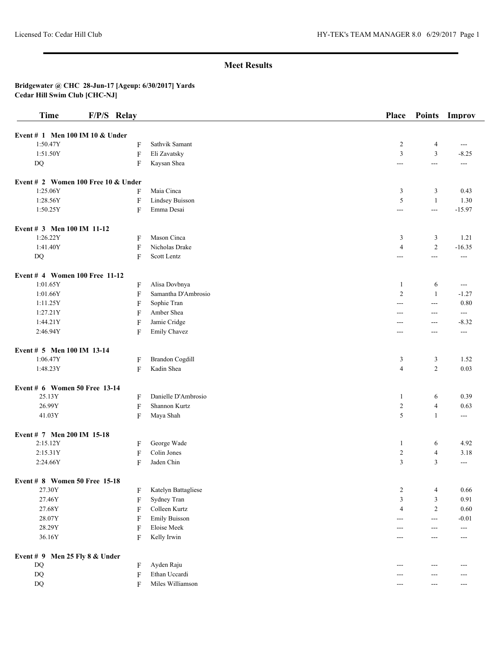| <b>Time</b>                                     | F/P/S Relay |                               | Place          | <b>Points</b>     | Improv   |
|-------------------------------------------------|-------------|-------------------------------|----------------|-------------------|----------|
| Event # 1 Men 100 IM 10 & Under                 |             |                               |                |                   |          |
| 1:50.47Y                                        | F           | Sathvik Samant                | $\overline{2}$ | 4                 | ---      |
| 1:51.50Y                                        | $\rm F$     | Eli Zavatsky                  | $\overline{3}$ | 3                 | $-8.25$  |
| $DQ$                                            | F           | Kaysan Shea                   | $\overline{a}$ | $\qquad \qquad -$ | $---$    |
|                                                 |             |                               |                |                   |          |
| Event # 2 Women 100 Free 10 & Under<br>1:25.06Y |             | Maia Cinca                    |                |                   | 0.43     |
| 1:28.56Y                                        | F           |                               | 3<br>5         | 3<br>$\mathbf{1}$ | 1.30     |
|                                                 | F           | Lindsey Buisson<br>Emma Desai |                |                   |          |
| 1:50.25Y                                        | F           |                               | $\overline{a}$ | $\sim$ $\sim$     | $-15.97$ |
| Event # 3 Men 100 IM 11-12                      |             |                               |                |                   |          |
| 1:26.22Y                                        | F           | Mason Cinca                   | 3              | 3                 | 1.21     |
| 1:41.40Y                                        | F           | Nicholas Drake                | $\overline{4}$ | $\sqrt{2}$        | $-16.35$ |
| $\rm DQ$                                        | F           | Scott Lentz                   | $\overline{a}$ | $\overline{a}$    | $---$    |
| Event # 4 Women 100 Free 11-12                  |             |                               |                |                   |          |
| 1:01.65Y                                        | F           | Alisa Dovbnya                 | -1             | 6                 | ---      |
| 1:01.66Y                                        | F           | Samantha D'Ambrosio           | $\overline{2}$ | $\mathbf{1}$      | $-1.27$  |
| 1:11.25Y                                        | F           | Sophie Tran                   | $---$          | $- - -$           | 0.80     |
| 1:27.21Y                                        | F           | Amber Shea                    | $---$          | $---$             | ---      |
| 1:44.21Y                                        | F           | Jamie Cridge                  | ---            | $---$             | $-8.32$  |
| 2:46.94Y                                        | F           | <b>Emily Chavez</b>           | $---$          | $---$             | $---$    |
| Event # 5 Men 100 IM 13-14                      |             |                               |                |                   |          |
| 1:06.47Y                                        | F           | <b>Brandon Cogdill</b>        | 3              | 3                 | 1.52     |
| 1:48.23Y                                        | F           | Kadin Shea                    | $\overline{4}$ | $\overline{c}$    | 0.03     |
| Event # 6 Women 50 Free 13-14                   |             |                               |                |                   |          |
| 25.13Y                                          | F           | Danielle D'Ambrosio           | -1             | 6                 | 0.39     |
| 26.99Y                                          | $\rm F$     | Shannon Kurtz                 | 2              | $\overline{4}$    | 0.63     |
| 41.03Y                                          | F           | Maya Shah                     | 5              | $\mathbf{1}$      | ---      |
|                                                 |             |                               |                |                   |          |
| Event # 7 Men 200 IM 15-18<br>2:15.12Y          | F           | George Wade                   | $\mathbf{1}$   | 6                 | 4.92     |
| 2:15.31Y                                        | F           | Colin Jones                   | $\overline{2}$ | $\overline{4}$    | 3.18     |
| 2:24.66Y                                        | F           | Jaden Chin                    | $\overline{3}$ | 3                 | ---      |
|                                                 |             |                               |                |                   |          |
| Event # 8 Women 50 Free 15-18                   |             |                               |                |                   |          |
| 27.30Y                                          | F           | Katelyn Battagliese           | $\overline{c}$ | 4                 | 0.66     |
| 27.46Y                                          | F           | Sydney Tran                   | 3              | $\mathfrak z$     | 0.91     |
| 27.68Y                                          | F           | Colleen Kurtz                 | $\overline{4}$ | $\overline{c}$    | 0.60     |
| 28.07Y                                          | F           | <b>Emily Buisson</b>          | $---$          | $\sim$ $\sim$     | $-0.01$  |
| 28.29Y                                          | F           | Eloise Meek                   | $---$          | ---               | ---      |
| 36.16Y                                          | F           | Kelly Irwin                   | ---            | ---               | $---$    |
| Event $# 9$ Men 25 Fly 8 & Under                |             |                               |                |                   |          |
| $\mathbf{D}\mathbf{Q}$                          | F           | Ayden Raju                    | ---            | $---$             | ---      |
| $\rm DQ$                                        | F           | Ethan Uccardi                 | ---            | ---               | ---      |
| $\rm DQ$                                        | F           | Miles Williamson              | ---            | ---               | ---      |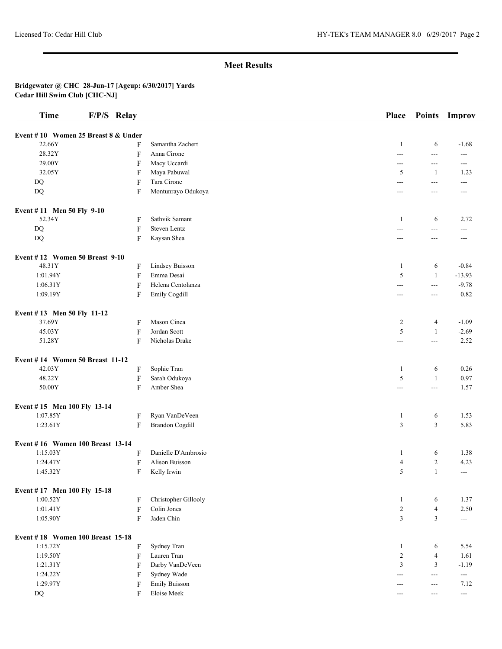| <b>Time</b>                         | F/P/S Relay               |                        | Place                    | <b>Points</b>     | Improv                   |
|-------------------------------------|---------------------------|------------------------|--------------------------|-------------------|--------------------------|
| Event #10 Women 25 Breast 8 & Under |                           |                        |                          |                   |                          |
| 22.66Y                              | F                         | Samantha Zachert       | -1                       | 6                 | $-1.68$                  |
| 28.32Y                              | $\boldsymbol{\mathrm{F}}$ | Anna Cirone            | $---$                    | $\qquad \qquad -$ | $---$                    |
| 29.00Y                              | F                         | Macy Uccardi           | $\overline{\phantom{a}}$ | $\overline{a}$    | $---$                    |
| 32.05Y                              | F                         | Maya Pabuwal           | 5                        | 1                 | 1.23                     |
| DQ                                  | F                         | Tara Cirone            | $\overline{a}$           | $\overline{a}$    | ---                      |
| DQ                                  | F                         | Montunrayo Odukoya     | ---                      | $\overline{a}$    | $---$                    |
| Event #11 Men 50 Fly 9-10           |                           |                        |                          |                   |                          |
| 52.34Y                              | F                         | Sathvik Samant         | -1                       | 6                 | 2.72                     |
| DQ                                  | $\boldsymbol{\mathrm{F}}$ | <b>Steven Lentz</b>    | $\overline{a}$           | $\overline{a}$    | $---$                    |
| DQ                                  | $\boldsymbol{\mathrm{F}}$ | Kaysan Shea            | ---                      | $---$             | ---                      |
| Event #12 Women 50 Breast 9-10      |                           |                        |                          |                   |                          |
| 48.31Y                              | F                         | Lindsey Buisson        | 1                        | 6                 | $-0.84$                  |
| 1:01.94Y                            | F                         | Emma Desai             | 5                        | $\mathbf{1}$      | $-13.93$                 |
| 1:06.31Y                            | F                         | Helena Centolanza      | ---                      | $\overline{a}$    | $-9.78$                  |
| 1:09.19Y                            | F                         | Emily Cogdill          | ---                      | $\frac{1}{2}$     | 0.82                     |
| Event #13 Men 50 Fly 11-12          |                           |                        |                          |                   |                          |
| 37.69Y                              | F                         | Mason Cinca            | $\overline{c}$           | 4                 | $-1.09$                  |
| 45.03Y                              | F                         | Jordan Scott           | 5                        | -1                | $-2.69$                  |
| 51.28Y                              | F                         | Nicholas Drake         | $\overline{a}$           | $\overline{a}$    | 2.52                     |
| Event #14 Women 50 Breast 11-12     |                           |                        |                          |                   |                          |
| 42.03Y                              | F                         | Sophie Tran            | 1                        | 6                 | 0.26                     |
| 48.22Y                              | $\boldsymbol{\mathrm{F}}$ | Sarah Odukoya          | 5                        | $\mathbf{1}$      | 0.97                     |
| 50.00Y                              | F                         | Amber Shea             | ---                      | $\sim$ $\sim$     | 1.57                     |
| Event #15 Men 100 Fly 13-14         |                           |                        |                          |                   |                          |
| 1:07.85Y                            | F                         | Ryan VanDeVeen         | $\mathbf{1}$             | 6                 | 1.53                     |
| 1:23.61Y                            | $\boldsymbol{\mathrm{F}}$ | <b>Brandon Cogdill</b> | $\mathfrak{Z}$           | 3                 | 5.83                     |
| Event #16 Women 100 Breast 13-14    |                           |                        |                          |                   |                          |
| 1:15.03Y                            | F                         | Danielle D'Ambrosio    | $\mathbf{1}$             | 6                 | 1.38                     |
| 1:24.47Y                            | F                         | Alison Buisson         | 4                        | $\overline{c}$    | 4.23                     |
| 1:45.32Y                            | F                         | Kelly Irwin            | 5                        | $\mathbf{1}$      | $\overline{a}$           |
| Event #17 Men 100 Fly 15-18         |                           |                        |                          |                   |                          |
| 1:00.52Y                            | F                         | Christopher Gillooly   | 1                        | 6                 | 1.37                     |
| 1:01.41Y                            | $\boldsymbol{\mathrm{F}}$ | Colin Jones            | $\sqrt{2}$               | $\overline{4}$    | 2.50                     |
| 1:05.90Y                            | $\boldsymbol{\mathrm{F}}$ | Jaden Chin             | $\mathfrak{Z}$           | $\mathfrak{Z}$    | ---                      |
| Event #18 Women 100 Breast 15-18    |                           |                        |                          |                   |                          |
| 1:15.72Y                            | F                         | Sydney Tran            | 1                        | 6                 | 5.54                     |
| 1:19.50Y                            | F                         | Lauren Tran            | $\boldsymbol{2}$         | $\overline{4}$    | 1.61                     |
| 1:21.31Y                            | F                         | Darby VanDeVeen        | $\mathfrak{Z}$           | 3                 | $-1.19$                  |
| 1:24.22Y                            | F                         | Sydney Wade            | ---                      | $\frac{1}{2}$     | $\qquad \qquad - -$      |
| 1:29.97Y                            | F                         | <b>Emily Buisson</b>   | $---$                    | $---$             | 7.12                     |
| $\rm DQ$                            | F                         | Eloise Meek            | $\cdots$                 | $- - -$           | $\overline{\phantom{a}}$ |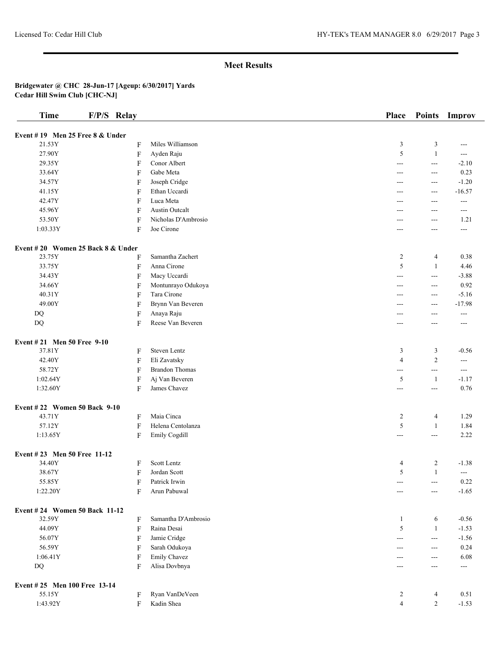| <b>Time</b>                         | F/P/S Relay               |                       | Place          | <b>Points</b>         | Improv            |
|-------------------------------------|---------------------------|-----------------------|----------------|-----------------------|-------------------|
| Event #19 Men 25 Free 8 & Under     |                           |                       |                |                       |                   |
| 21.53Y                              | F                         | Miles Williamson      | $\mathfrak{Z}$ | 3                     | $---$             |
| 27.90Y                              | $\boldsymbol{\mathrm{F}}$ | Ayden Raju            | 5              | $\mathbf{1}$          | ---               |
| 29.35Y                              | F                         | Conor Albert          | $---$          | $\sim$ $\sim$         | $-2.10$           |
| 33.64Y                              | F                         | Gabe Meta             | $---$          | $---$                 | 0.23              |
| 34.57Y                              | F                         | Joseph Cridge         | ---            | $---$                 | $-1.20$           |
| 41.15Y                              | F                         | Ethan Uccardi         | ---            | ---                   | $-16.57$          |
| 42.47Y                              | F                         | Luca Meta             | $---$          | $---$                 | $---$             |
| 45.96Y                              | F                         | <b>Austin Outcalt</b> | ---            | $---$                 | ---               |
| 53.50Y                              | F                         | Nicholas D'Ambrosio   | ---            | $---$                 | 1.21              |
| 1:03.33Y                            | F                         | Joe Cirone            | $---$          | $---$                 | $---$             |
|                                     |                           |                       |                |                       |                   |
| Event #20 Women 25 Back $8 &$ Under |                           |                       |                |                       |                   |
| 23.75Y                              | F                         | Samantha Zachert      | $\overline{c}$ | $\overline{4}$        | 0.38              |
| 33.75Y                              | F                         | Anna Cirone           | 5              | $\mathbf{1}$          | 4.46              |
| 34.43Y                              | F                         | Macy Uccardi          | $---$          | $\overline{a}$        | $-3.88$           |
| 34.66Y                              | F                         | Montunrayo Odukoya    | ---            | $---$                 | 0.92              |
| 40.31Y                              | F                         | Tara Cirone           | $---$          | $---$                 | $-5.16$           |
| 49.00Y                              | F                         | Brynn Van Beveren     | $---$          | $---$                 | $-17.98$          |
| DQ                                  | F                         | Anaya Raju            | ---            | ---                   | $---$             |
| DQ                                  | F                         | Reese Van Beveren     | ---            | ---                   | ---               |
| Event #21 Men 50 Free 9-10          |                           |                       |                |                       |                   |
| 37.81Y                              | F                         | Steven Lentz          | 3              | 3                     | $-0.56$           |
| 42.40Y                              | F                         | Eli Zavatsky          | $\overline{4}$ | $\overline{2}$        | $---$             |
| 58.72Y                              | F                         | <b>Brandon Thomas</b> | $ -$           | $ -$                  | $\qquad \qquad -$ |
| 1:02.64Y                            | F                         | Aj Van Beveren        | 5              | $\mathbf{1}$          | $-1.17$           |
| 1:32.60Y                            | F                         | James Chavez          | ---            | $--$                  | 0.76              |
| Event #22 Women 50 Back 9-10        |                           |                       |                |                       |                   |
| 43.71Y                              | F                         | Maia Cinca            | $\overline{c}$ | 4                     | 1.29              |
| 57.12Y                              | F                         | Helena Centolanza     | 5              | 1                     | 1.84              |
| 1:13.65Y                            | F                         | Emily Cogdill         | ---            | $--$                  | 2.22              |
|                                     |                           |                       |                |                       |                   |
| Event #23 Men 50 Free 11-12         |                           |                       |                |                       |                   |
| 34.40Y                              | F                         | Scott Lentz           | 4              | 2                     | $-1.38$           |
| 38.67Y                              | F                         | Jordan Scott          | 5              | $\mathbf{1}$          | $\sim$ $\sim$     |
| 55.85Y                              | F                         | Patrick Irwin         | ---            | $\scriptstyle \cdots$ | 0.22              |
| 1:22.20Y                            | F                         | Arun Pabuwal          | $---$          | $---$                 | $-1.65$           |
| Event #24 Women 50 Back 11-12       |                           |                       |                |                       |                   |
| 32.59Y                              | F                         | Samantha D'Ambrosio   | -1             | 6                     | $-0.56$           |
| 44.09Y                              | $\boldsymbol{\mathrm{F}}$ | Raina Desai           | 5              | $\mathbf{1}$          | $-1.53$           |
| 56.07Y                              | F                         | Jamie Cridge          | ---            | $---$                 | $-1.56$           |
| 56.59Y                              | F                         | Sarah Odukoya         | $---$          | $\overline{a}$        | 0.24              |
| 1:06.41Y                            | F                         | Emily Chavez          | $---$          | $--$                  | 6.08              |
| $\rm DQ$                            | F                         | Alisa Dovbnya         | $---$          | $---$                 | ---               |
| Event #25 Men 100 Free 13-14        |                           |                       |                |                       |                   |
| 55.15Y                              | F                         | Ryan VanDeVeen        | 2              | 4                     | 0.51              |
| 1:43.92Y                            | F                         | Kadin Shea            | $\overline{4}$ | $\overline{c}$        | $-1.53$           |
|                                     |                           |                       |                |                       |                   |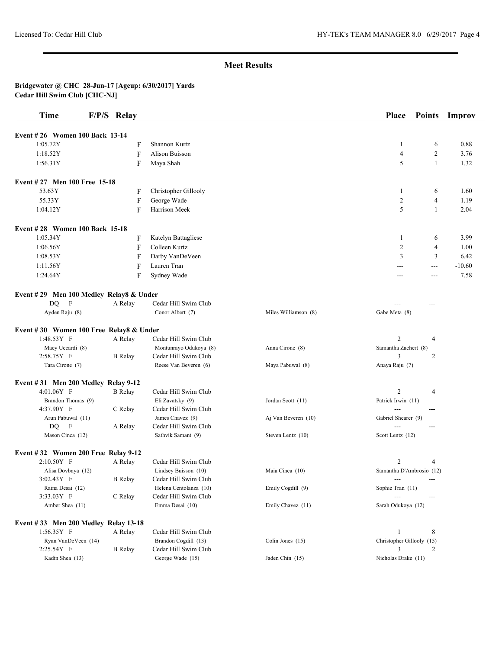| <b>Time</b>                             | F/P/S Relay    |                        |                      | <b>Place</b>              | <b>Points</b>  | Improv   |
|-----------------------------------------|----------------|------------------------|----------------------|---------------------------|----------------|----------|
| Event #26 Women 100 Back 13-14          |                |                        |                      |                           |                |          |
| 1:05.72Y                                | F              | Shannon Kurtz          |                      | 1                         | 6              | 0.88     |
| 1:18.52Y                                | F              | <b>Alison Buisson</b>  |                      | $\overline{4}$            | 2              | 3.76     |
| 1:56.31Y                                | F              | Maya Shah              |                      | 5                         | 1              | 1.32     |
|                                         |                |                        |                      |                           |                |          |
| Event #27 Men 100 Free 15-18            |                |                        |                      |                           |                |          |
| 53.63Y                                  | F              | Christopher Gillooly   |                      | 1                         | 6              | 1.60     |
| 55.33Y                                  | F              | George Wade            |                      | $\overline{c}$            | $\overline{4}$ | 1.19     |
| 1:04.12Y                                | F              | Harrison Meek          |                      | 5                         | 1              | 2.04     |
| <b>Event #28 Women 100 Back 15-18</b>   |                |                        |                      |                           |                |          |
| 1:05.34Y                                | F              | Katelyn Battagliese    |                      | -1                        | 6              | 3.99     |
| 1:06.56Y                                | F              | Colleen Kurtz          |                      | 2                         | 4              | 1.00     |
| 1:08.53Y                                | F              | Darby VanDeVeen        |                      | 3                         | 3              | 6.42     |
| 1:11.56Y                                | F              | Lauren Tran            |                      | ---                       | $\cdots$       | $-10.60$ |
| 1:24.64Y                                | F              | Sydney Wade            |                      | ---                       | ---            | 7.58     |
|                                         |                |                        |                      |                           |                |          |
| Event #29 Men 100 Medley Relay8 & Under |                |                        |                      |                           |                |          |
| F<br>DQ.                                | A Relay        | Cedar Hill Swim Club   |                      |                           | ---            |          |
| Ayden Raju (8)                          |                | Conor Albert (7)       | Miles Williamson (8) | Gabe Meta (8)             |                |          |
| Event #30 Women 100 Free Relay8 & Under |                |                        |                      |                           |                |          |
| 1:48.53Y F                              | A Relay        | Cedar Hill Swim Club   |                      | 2                         | 4              |          |
| Macy Uccardi (8)                        |                | Montunrayo Odukoya (8) | Anna Cirone (8)      | Samantha Zachert (8)      |                |          |
| 2:58.75Y F                              | <b>B</b> Relay | Cedar Hill Swim Club   |                      | 3                         | 2              |          |
| Tara Cirone (7)                         |                | Reese Van Beveren (6)  | Maya Pabuwal (8)     | Anaya Raju (7)            |                |          |
| Event $#31$ Men 200 Medley Relay 9-12   |                |                        |                      |                           |                |          |
| 4:01.06Y F                              | <b>B</b> Relay | Cedar Hill Swim Club   |                      | $\overline{2}$            | 4              |          |
| Brandon Thomas (9)                      |                | Eli Zavatsky (9)       | Jordan Scott (11)    | Patrick Irwin (11)        |                |          |
| 4:37.90Y F                              | C Relay        | Cedar Hill Swim Club   |                      | ---                       | ---            |          |
| Arun Pabuwal (11)                       |                | James Chavez (9)       | Aj Van Beveren (10)  | Gabriel Shearer (9)       |                |          |
| DQ F                                    | A Relay        | Cedar Hill Swim Club   |                      |                           | ---            |          |
| Mason Cinca (12)                        |                | Sathvik Samant (9)     | Steven Lentz (10)    | Scott Lentz (12)          |                |          |
| Event $#32$ Women 200 Free Relay 9-12   |                |                        |                      |                           |                |          |
| $2:10.50Y$ F                            | A Relay        | Cedar Hill Swim Club   |                      | 2                         | 4              |          |
| Alisa Dovbnya (12)                      |                | Lindsey Buisson (10)   | Maia Cinca (10)      | Samantha D'Ambrosio (12)  |                |          |
| 3:02.43Y F                              | <b>B</b> Relay | Cedar Hill Swim Club   |                      |                           |                |          |
| Raina Desai (12)                        |                | Helena Centolanza (10) | Emily Cogdill (9)    | Sophie Tran (11)          |                |          |
| 3:33.03Y F                              | C Relay        | Cedar Hill Swim Club   |                      |                           | $---$          |          |
| Amber Shea (11)                         |                | Emma Desai (10)        | Emily Chavez (11)    | Sarah Odukoya (12)        |                |          |
| Event #33 Men 200 Medley Relay 13-18    |                |                        |                      |                           |                |          |
| $1:56.35Y$ F                            | A Relay        | Cedar Hill Swim Club   |                      | 1                         | 8              |          |
| Ryan VanDeVeen (14)                     |                | Brandon Cogdill (13)   | Colin Jones (15)     | Christopher Gillooly (15) |                |          |
| 2:25.54Y F                              | <b>B</b> Relay | Cedar Hill Swim Club   |                      | 3                         | 2              |          |
| Kadin Shea (13)                         |                | George Wade (15)       | Jaden Chin (15)      | Nicholas Drake (11)       |                |          |